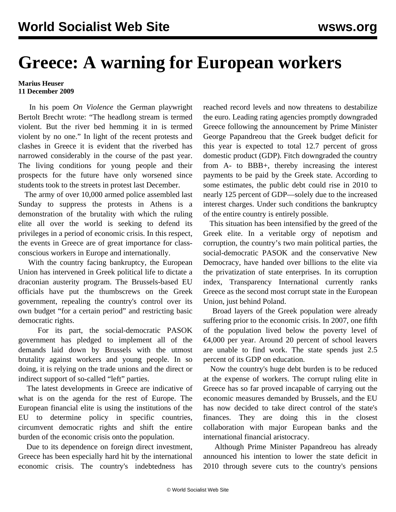## **Greece: A warning for European workers**

## **Marius Heuser 11 December 2009**

 In his poem *On Violence* the German playwright Bertolt Brecht wrote: "The headlong stream is termed violent. But the river bed hemming it in is termed violent by no one." In light of the recent protests and clashes in Greece it is evident that the riverbed has narrowed considerably in the course of the past year. The living conditions for young people and their prospects for the future have only worsened since students took to the streets in protest last December.

 The army of over 10,000 armed police assembled last Sunday to suppress the protests in Athens is a demonstration of the brutality with which the ruling elite all over the world is seeking to defend its privileges in a period of economic crisis. In this respect, the events in Greece are of great importance for classconscious workers in Europe and internationally.

 With the country facing bankruptcy, the European Union has intervened in Greek political life to dictate a draconian austerity program. The Brussels-based EU officials have put the thumbscrews on the Greek government, repealing the country's control over its own budget "for a certain period" and restricting basic democratic rights.

 For its part, the social-democratic PASOK government has pledged to implement all of the demands laid down by Brussels with the utmost brutality against workers and young people. In so doing, it is relying on the trade unions and the direct or indirect support of so-called "left" parties.

 The latest developments in Greece are indicative of what is on the agenda for the rest of Europe. The European financial elite is using the institutions of the EU to determine policy in specific countries, circumvent democratic rights and shift the entire burden of the economic crisis onto the population.

 Due to its dependence on foreign direct investment, Greece has been especially hard hit by the international economic crisis. The country's indebtedness has reached record levels and now threatens to destabilize the euro. Leading rating agencies promptly downgraded Greece following the announcement by Prime Minister George Papandreou that the Greek budget deficit for this year is expected to total 12.7 percent of gross domestic product (GDP). Fitch downgraded the country from A- to BBB+, thereby increasing the interest payments to be paid by the Greek state. According to some estimates, the public debt could rise in 2010 to nearly 125 percent of GDP—solely due to the increased interest charges. Under such conditions the bankruptcy of the entire country is entirely possible.

 This situation has been intensified by the greed of the Greek elite. In a veritable orgy of nepotism and corruption, the country's two main political parties, the social-democratic PASOK and the conservative New Democracy, have handed over billions to the elite via the privatization of state enterprises. In its corruption index, Transparency International currently ranks Greece as the second most corrupt state in the European Union, just behind Poland.

 Broad layers of the Greek population were already suffering prior to the economic crisis. In 2007, one fifth of the population lived below the poverty level of €4,000 per year. Around 20 percent of school leavers are unable to find work. The state spends just 2.5 percent of its GDP on education.

 Now the country's huge debt burden is to be reduced at the expense of workers. The corrupt ruling elite in Greece has so far proved incapable of carrying out the economic measures demanded by Brussels, and the EU has now decided to take direct control of the state's finances. They are doing this in the closest collaboration with major European banks and the international financial aristocracy.

 Although Prime Minister Papandreou has already announced his intention to lower the state deficit in 2010 through severe cuts to the country's pensions